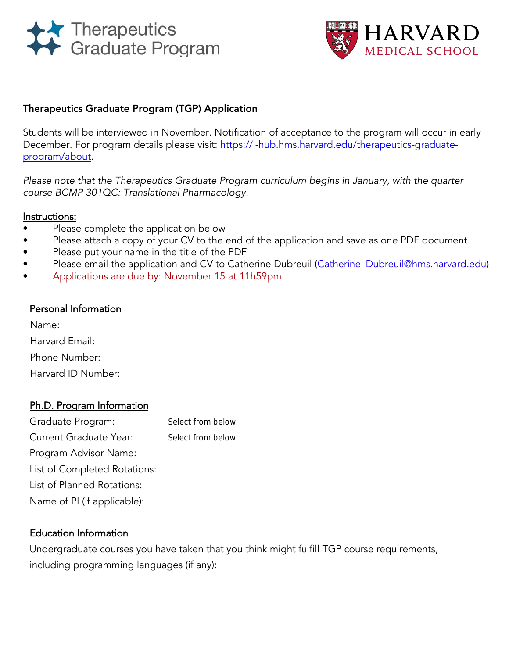



### Therapeutics Graduate Program (TGP) Application

Students will be interviewed i[n](https://projects.iq.harvard.edu/i-hub/tgp-therapeutics-graduate-program) November. Notification of acceptance to the program will occur in early December. For program details please visit: [https://i-hub.hms.harvard.edu/therapeutics-graduate](https://i-hub.hms.harvard.edu/therapeutics-graduate-program/about)[program/about](https://i-hub.hms.harvard.edu/therapeutics-graduate-program/about).

Please note that the Therapeutics Graduate Program curriculum begins in January, with the quarter course BCMP 301QC: Translational Pharmacology.

#### Instructions:

- Please complete the application below
- Please attach a copy of your CV to the end of the application and save as one PDF document
- Please put your name in the title of the PDF
- Please email the application and CV to Catherine Dubreuil (Catherine Dubreuil@hms.harvard.edu)
- Applications are due by: November 15 at 11h59pm

#### Personal Information

Name: Harvard Email: Phone Number: Harvard ID Number:

# Ph.D. Program Information

| Select from below |
|-------------------|
| Select from below |
|                   |
|                   |
|                   |
|                   |
|                   |

# Education Information

Undergraduate courses you have taken that you think might fulfill TGP course requirements, including programming languages (if any):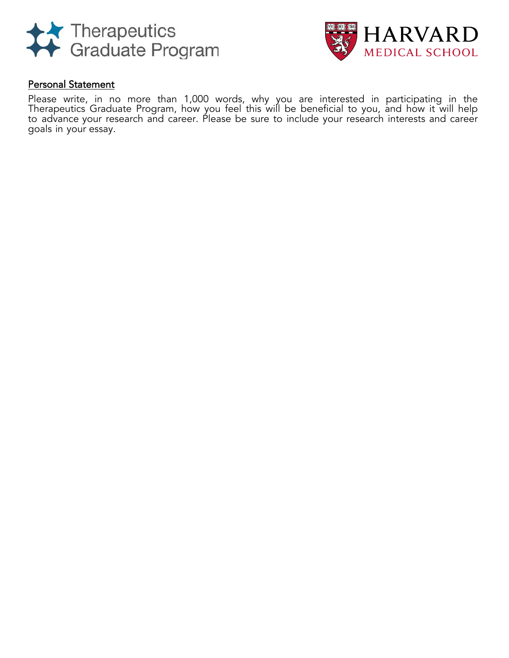



### Personal Statement

Please write, in no more than 1,000 words, why you are interested in participating in the Therapeutics Graduate Program, how you feel this will be beneficial to you, and how it will help to advance your research and career. Please be sure to include your research interests and career goals in your essay.